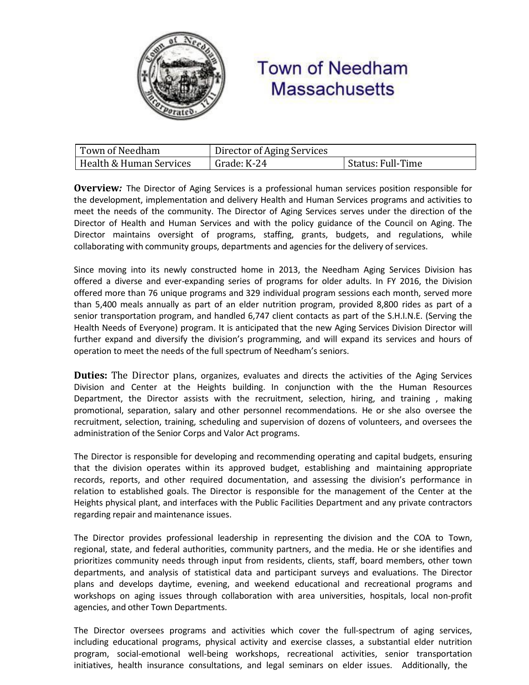

## **Town of Needham Massachusetts**

| Town of Needham         | Director of Aging Services |                                |
|-------------------------|----------------------------|--------------------------------|
| Health & Human Services | Grade: K-24                | <sup>1</sup> Status: Full-Time |

**Overview***:* The Director of Aging Services is a professional human services position responsible for the development, implementation and delivery Health and Human Services programs and activities to meet the needs of the community. The Director of Aging Services serves under the direction of the Director of Health and Human Services and with the policy guidance of the Council on Aging. The Director maintains oversight of programs, staffing, grants, budgets, and regulations, while collaborating with community groups, departments and agencies for the delivery of services.

Since moving into its newly constructed home in 2013, the Needham Aging Services Division has offered a diverse and ever-expanding series of programs for older adults. In FY 2016, the Division offered more than 76 unique programs and 329 individual program sessions each month, served more than 5,400 meals annually as part of an elder nutrition program, provided 8,800 rides as part of a senior transportation program, and handled 6,747 client contacts as part of the S.H.I.N.E. (Serving the Health Needs of Everyone) program. It is anticipated that the new Aging Services Division Director will further expand and diversify the division's programming, and will expand its services and hours of operation to meet the needs of the full spectrum of Needham's seniors.

**Duties:** The Director plans, organizes, evaluates and directs the activities of the Aging Services Division and Center at the Heights building. In conjunction with the the Human Resources Department, the Director assists with the recruitment, selection, hiring, and training , making promotional, separation, salary and other personnel recommendations. He or she also oversee the recruitment, selection, training, scheduling and supervision of dozens of volunteers, and oversees the administration of the Senior Corps and Valor Act programs.

The Director is responsible for developing and recommending operating and capital budgets, ensuring that the division operates within its approved budget, establishing and maintaining appropriate records, reports, and other required documentation, and assessing the division's performance in relation to established goals. The Director is responsible for the management of the Center at the Heights physical plant, and interfaces with the Public Facilities Department and any private contractors regarding repair and maintenance issues.

The Director provides professional leadership in representing the division and the COA to Town, regional, state, and federal authorities, community partners, and the media. He or she identifies and prioritizes community needs through input from residents, clients, staff, board members, other town departments, and analysis of statistical data and participant surveys and evaluations. The Director plans and develops daytime, evening, and weekend educational and recreational programs and workshops on aging issues through collaboration with area universities, hospitals, local non-profit agencies, and other Town Departments.

The Director oversees programs and activities which cover the full-spectrum of aging services, including educational programs, physical activity and exercise classes, a substantial elder nutrition program, social-emotional well-being workshops, recreational activities, senior transportation initiatives, health insurance consultations, and legal seminars on elder issues. Additionally, the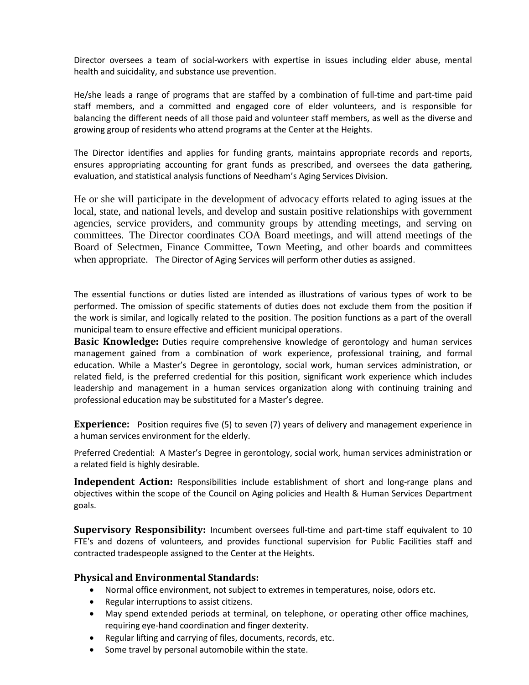Director oversees a team of social-workers with expertise in issues including elder abuse, mental health and suicidality, and substance use prevention.

He/she leads a range of programs that are staffed by a combination of full-time and part-time paid staff members, and a committed and engaged core of elder volunteers, and is responsible for balancing the different needs of all those paid and volunteer staff members, as well as the diverse and growing group of residents who attend programs at the Center at the Heights.

The Director identifies and applies for funding grants, maintains appropriate records and reports, ensures appropriating accounting for grant funds as prescribed, and oversees the data gathering, evaluation, and statistical analysis functions of Needham's Aging Services Division.

He or she will participate in the development of advocacy efforts related to aging issues at the local, state, and national levels, and develop and sustain positive relationships with government agencies, service providers, and community groups by attending meetings, and serving on committees. The Director coordinates COA Board meetings, and will attend meetings of the Board of Selectmen, Finance Committee, Town Meeting, and other boards and committees when appropriate. The Director of Aging Services will perform other duties as assigned.

The essential functions or duties listed are intended as illustrations of various types of work to be performed. The omission of specific statements of duties does not exclude them from the position if the work is similar, and logically related to the position. The position functions as a part of the overall municipal team to ensure effective and efficient municipal operations.

**Basic Knowledge:** Duties require comprehensive knowledge of gerontology and human services management gained from a combination of work experience, professional training, and formal education. While a Master's Degree in gerontology, social work, human services administration, or related field, is the preferred credential for this position, significant work experience which includes leadership and management in a human services organization along with continuing training and professional education may be substituted for a Master's degree.

**Experience:** Position requires five (5) to seven (7) years of delivery and management experience in a human services environment for the elderly.

Preferred Credential: A Master's Degree in gerontology, social work, human services administration or a related field is highly desirable.

**Independent Action:** Responsibilities include establishment of short and long-range plans and objectives within the scope of the Council on Aging policies and Health & Human Services Department goals.

**Supervisory Responsibility:** Incumbent oversees full-time and part-time staff equivalent to 10 FTE's and dozens of volunteers, and provides functional supervision for Public Facilities staff and contracted tradespeople assigned to the Center at the Heights.

## **Physical and Environmental Standards:**

- Normal office environment, not subject to extremes in temperatures, noise, odors etc.
- Regular interruptions to assist citizens.
- May spend extended periods at terminal, on telephone, or operating other office machines, requiring eye-hand coordination and finger dexterity.
- Regular lifting and carrying of files, documents, records, etc.
- Some travel by personal automobile within the state.